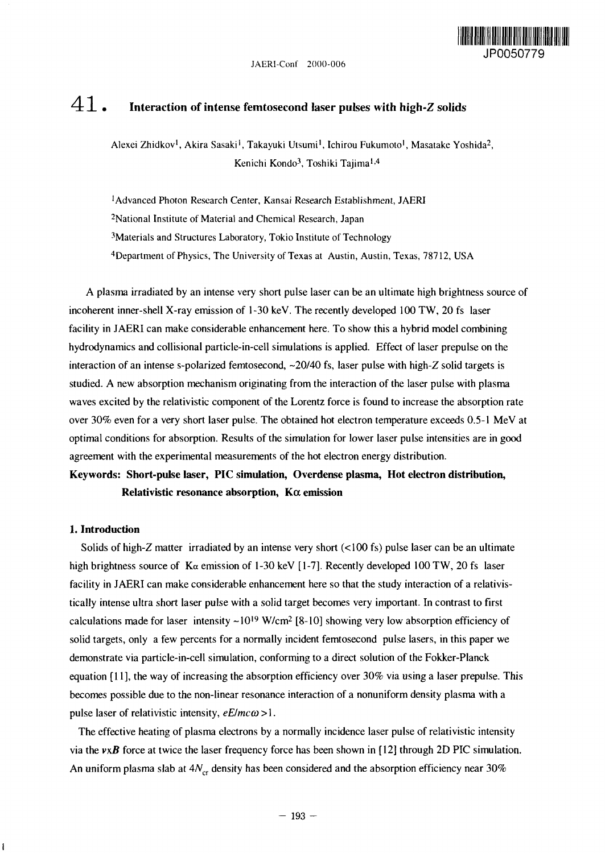

# $41$  • Interaction of intense femtosecond laser pulses with high-Z solids

Alexei Zhidkov<sup>1</sup>, Akira Sasaki<sup>1</sup>, Takayuki Utsumi<sup>1</sup>, Ichirou Fukumoto<sup>1</sup>, Masatake Yoshida<sup>2</sup>, Kenichi Kondo<sup>3</sup>, Toshiki Tajima<sup>1,4</sup>

'Advanced Photon Research Center, Kansai Research Establishment, JAERI <sup>2</sup>National Institute of Material and Chemical Research, Japan 'Materials and Structures Laboratory, Tokio Institute of Technology <sup>4</sup>Department of Physics, The University of Texas at Austin, Austin, Texas, 78712, USA

A plasma irradiated by an intense very short pulse laser can be an ultimate high brightness source of incoherent inner-shell X-ray emission of 1-30 keV. The recently developed 100 TW, 20 fs laser facility in JAERI can make considerable enhancement here. To show this a hybrid model combining hydrodynamics and collisional particle-in-cell simulations is applied. Effect of laser prepulse on the interaction of an intense s-polarized femtosecond,  $\sim$ 20/40 fs, laser pulse with high-Z solid targets is studied. A new absorption mechanism originating from the interaction of the laser pulse with plasma waves excited by the relativistic component of the Lorentz force is found to increase the absorption rate over 30% even for a very short laser pulse. The obtained hot electron temperature exceeds 0.5-1 MeV at optimal conditions for absorption. Results of the simulation for lower laser pulse intensities are in good agreement with the experimental measurements of the hot electron energy distribution.

## **Keywords: Short-pulse laser, PIC simulation, Overdense plasma, Hot electron distribution, Relativistic resonance absorption,** Koc **emission**

#### **1. Introduction**

ł

Solids of high-Z matter irradiated by an intense very short (<100 fs) pulse laser can be an ultimate high brightness source of  $K_{\alpha}$  emission of 1-30 keV [1-7]. Recently developed 100 TW, 20 fs laser facility in JAERI can make considerable enhancement here so that the study interaction of a relativistically intense ultra short laser pulse with a solid target becomes very important. In contrast to first calculations made for laser intensity ~10<sup>19</sup> W/cm<sup>2</sup> [8-10] showing very low absorption efficiency of solid targets, only a few percents for a normally incident femtosecond pulse lasers, in this paper we demonstrate via particle-in-cell simulation, conforming to a direct solution of the Fokker-Planck equation  $[11]$ , the way of increasing the absorption efficiency over 30% via using a laser prepulse. This becomes possible due to the non-linear resonance interaction of a nonuniform density plasma with a pulse laser of relativistic intensity,  $eE/mc\omega>1$ .

The effective heating of plasma electrons by a normally incidence laser pulse of relativistic intensity via the  $v\times B$  force at twice the laser frequency force has been shown in [12] through 2D PIC simulation. An uniform plasma slab at  $4N_{cr}$  density has been considered and the absorption efficiency near 30%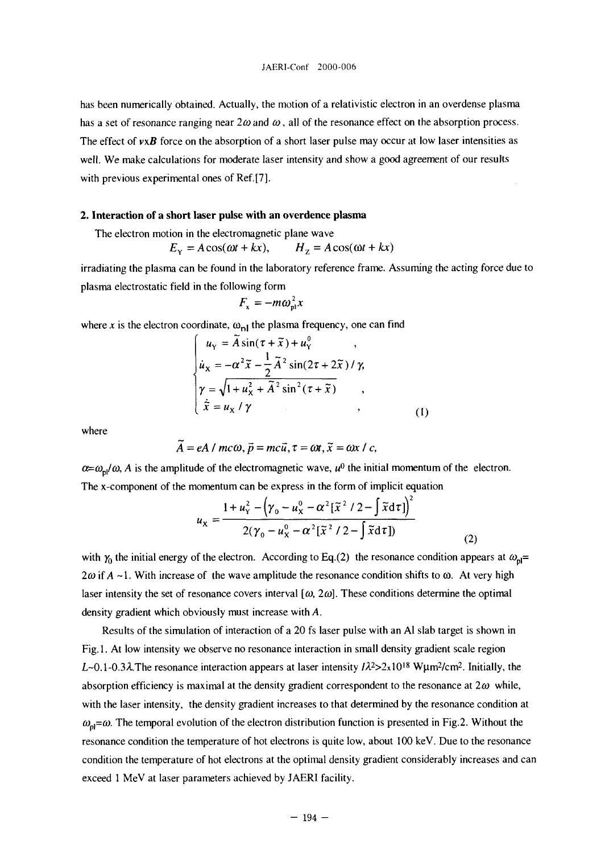has been numerically obtained. Actually, the motion of a relativistic electron in an overdense plasma has a set of resonance ranging near  $2\omega$  and  $\omega$ , all of the resonance effect on the absorption process. The effect of  $v \times B$  force on the absorption of a short laser pulse may occur at low laser intensities as well. We make calculations for moderate laser intensity and show a good agreement of our results with previous experimental ones of Ref.[7].

### **2. Interaction of a short laser pulse with an overdence plasma**

The electron motion in the electromagnetic plane wave

$$
E_{\rm Y} = A\cos(\omega t + kx), \qquad H_{\rm Z} = A\cos(\omega t + kx)
$$

irradiating the plasma can be found in the laboratory reference frame. Assuming the acting force due to plasma electrostatic field in the following form

$$
F_{x}=-m\omega_{\rm pl}^{2}x
$$

where x is the electron coordinate,  $\omega_{nl}$  the plasma frequency, one can find

$$
\begin{cases}\n u_{\gamma} = A \sin(\tau + \tilde{x}) + u_{\gamma}^{0} , \\
\dot{u}_{\chi} = -\alpha^{2} \tilde{x} - \frac{1}{2} \tilde{A}^{2} \sin(2\tau + 2\tilde{x}) / \gamma, \\
\gamma = \sqrt{1 + u_{\chi}^{2} + \tilde{A}^{2} \sin^{2}(\tau + \tilde{x})} , \\
\dot{\tilde{x}} = u_{\chi} / \gamma ,\n\end{cases}
$$
\n(1)

where

$$
\tilde{A}=eA/mc\omega, \tilde{p}=mc\tilde{u}, \tau=\omega t, \tilde{x}=\omega x/c,
$$

 $\alpha = \omega_{nl}/\omega$ , *A* is the amplitude of the electromagnetic wave,  $u^0$  the initial momentum of the electron. The x-component of the momentum can be express in the form of implicit equation

$$
u_{x} = \frac{1 + u_{y}^{2} - (\gamma_{0} - u_{x}^{0} - \alpha^{2} [\tilde{x}^{2} / 2 - \int \tilde{x} d\tau])^{2}}{2(\gamma_{0} - u_{x}^{0} - \alpha^{2} [\tilde{x}^{2} / 2 - \int \tilde{x} d\tau])}
$$
(2)

with  $\gamma_0$  the initial energy of the electron. According to Eq.(2) the resonance condition appears at  $\omega_{\text{pl}}$ =  $2\omega$  if  $A \sim 1$ . With increase of the wave amplitude the resonance condition shifts to  $\omega$ . At very high laser intensity the set of resonance covers interval  $[\omega, 2\omega]$ . These conditions determine the optimal density gradient which obviously must increase with A.

Results of the simulation of interaction of a 20 fs laser pulse with an Al slab target is shown in Fig. 1. At low intensity we observe no resonance interaction in small density gradient scale region L-0.1-0.3 $\lambda$ . The resonance interaction appears at laser intensity  $\lambda^2 > 2 \times 10^{18}$  Wµm<sup>2</sup>/cm<sup>2</sup>. Initially, the absorption efficiency is maximal at the density gradient correspondent to the resonance at  $2\omega$  while, with the laser intensity, the density gradient increases to that determined by the resonance condition at  $\omega_{pl} = \omega$ . The temporal evolution of the electron distribution function is presented in Fig.2. Without the resonance condition the temperature of hot electrons is quite low, about 100 keV. Due to the resonance condition the temperature of hot electrons at the optimal density gradient considerably increases and can exceed 1 MeV at laser parameters achieved by JAERI facility.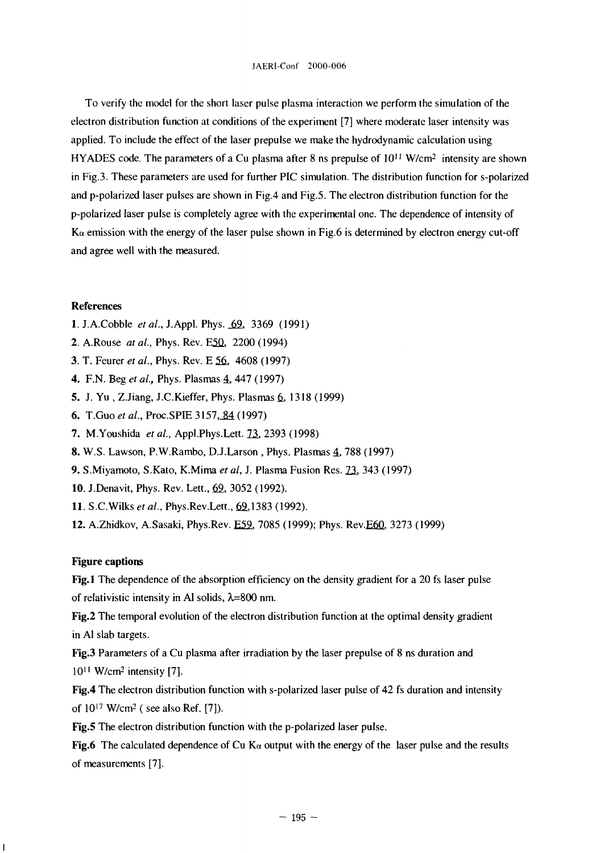To verify the model for the short laser pulse plasma interaction we perform the simulation of the electron distribution function at conditions of the experiment [7] where moderate laser intensity was applied. To include the effect of the laser prepulse we make the hydrodynamic calculation using HYADES code. The parameters of a Cu plasma after 8 ns prepulse of 10<sup>11</sup> W/cm<sup>2</sup> intensity are shown in Fig.3. These parameters are used for further PIC simulation. The distribution function for s-polarized and p-polarized laser pulses are shown in Fig.4 and Fig.5. The electron distribution function for the p-polarized laser pulse is completely agree with the experimental one. The dependence of intensity of  $K_{\alpha}$  emission with the energy of the laser pulse shown in Fig.6 is determined by electron energy cut-off and agree well with the measured.

#### References

- l.J.A.Cobble *et al.,* J.Appl. Phys. \_69\_, 3369 (1991)
- 2. A.Rouse *at al.*, Phys. Rev. E50, 2200 (1994)
- 3. T. Feurer *et al.,* Phys. Rev. E 56, 4608 (1997)
- 4. F.N. Beg et al., Phys. Plasmas 4, 447 (1997)
- 5. J. Yu, Z.Jiang, J.C.Kieffer, Phys. Plasmas 6, 1318 (1999)
- 6. T.Guo et al., Proc.SPIE 3157, 84 (1997)
- 7. M.Youshida et al., Appl.Phys.Lett. 73, 2393 (1998)
- 8. W.S. Lawson, P.W.Rambo, D.J.Larson, Phys. Plasmas 4, 788 (1997)
- 9. S. Miyamoto, S. Kato, K. Mima et al, J. Plasma Fusion Res. **73**, 343 (1997)
- 10. J.Denavit, Phys. Rev. Lett., 69, 3052 (1992).
- 11. S.C.Wilks *etal.,* Phys.Rev.Lett., 62,1383 (1992).
- 12. A.Zhidkov, A.Sasaki, Phys.Rev. E59, 7085 (1999); Phys. Rev.E60, 3273 (1999)

#### **Figure captions**

 $\overline{1}$ 

Fig.1 The dependence of the absorption efficiency on the density gradient for a 20 fs laser pulse of relativistic intensity in Al solids,  $\lambda$ =800 nm.

Fig.2 The temporal evolution of the electron distribution function at the optimal density gradient in Al slab targets.

Fig.3 Parameters of a Cu plasma after irradiation by the laser prepulse of 8 ns duration and 10<sup>11</sup> W/cm<sup>2</sup> intensity [7].

**Fig.4** The electron distribution function with s-polarized laser pulse of 42 fs duration and intensity of 10<sup>17</sup> W/cm<sup>2</sup> (see also Ref. [7]).

Fig.5 The electron distribution function with the p-polarized laser pulse.

Fig.6 The calculated dependence of Cu K $\alpha$  output with the energy of the laser pulse and the results of measurements [7].